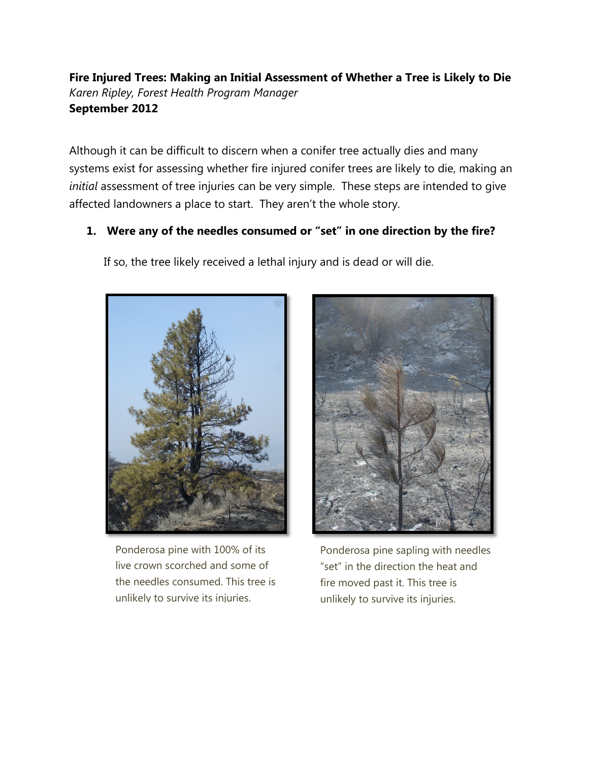**Fire Injured Trees: Making an Initial Assessment of Whether a Tree is Likely to Die** *Karen Ripley, Forest Health Program Manager* **September 2012**

Although it can be difficult to discern when a conifer tree actually dies and many systems exist for assessing whether fire injured conifer trees are likely to die, making an *initial* assessment of tree injuries can be very simple. These steps are intended to give affected landowners a place to start. They aren't the whole story.

## **1. Were any of the needles consumed or "set" in one direction by the fire?**

If so, the tree likely received a lethal injury and is dead or will die.



Ponderosa pine with 100% of its live crown scorched and some of the needles consumed. This tree is unlikely to survive its injuries.



Ponderosa pine sapling with needles "set" in the direction the heat and fire moved past it. This tree is unlikely to survive its injuries.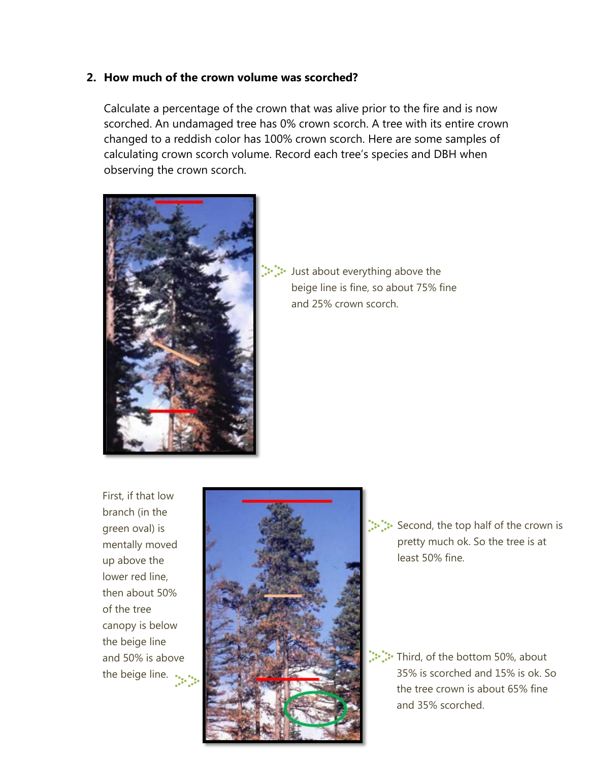## **2. How much of the crown volume was scorched?**

Calculate a percentage of the crown that was alive prior to the fire and is now scorched. An undamaged tree has 0% crown scorch. A tree with its entire crown changed to a reddish color has 100% crown scorch. Here are some samples of calculating crown scorch volume. Record each tree's species and DBH when observing the crown scorch.



Just about everything above the beige line is fine, so about 75% fine and 25% crown scorch.

First, if that low branch (in the green oval) is mentally moved up above the lower red line, then about 50% of the tree canopy is below the beige line and 50% is above the beige line.



Second, the top half of the crown is pretty much ok. So the tree is at least 50% fine.

Third, of the bottom 50%, about 35% is scorched and 15% is ok. So the tree crown is about 65% fine and 35% scorched.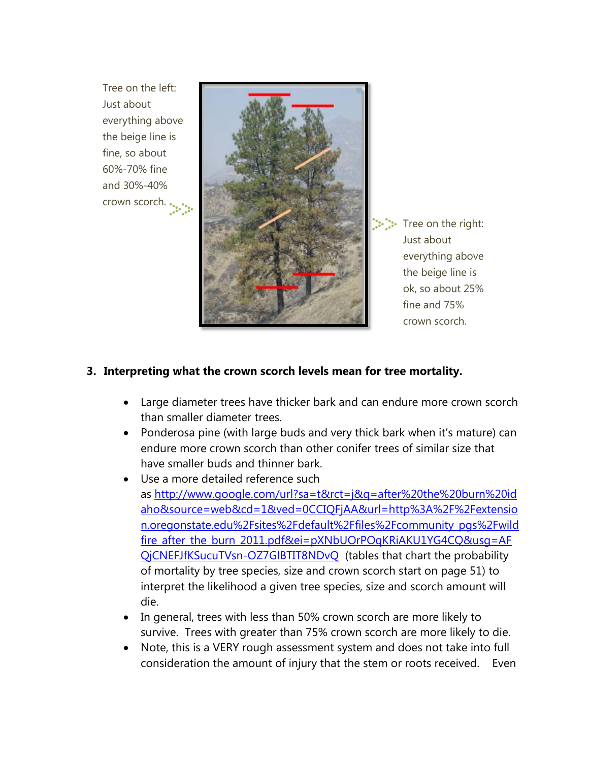Tree on the left: Just about everything above the beige line is fine, so about 60%-70% fine and 30%-40% crown scorch.



: Tree on the right: Just about everything above the beige line is ok, so about 25% fine and 75% crown scorch.

## **3. Interpreting what the crown scorch levels mean for tree mortality.**

- Large diameter trees have thicker bark and can endure more crown scorch than smaller diameter trees.
- Ponderosa pine (with large buds and very thick bark when it's mature) can endure more crown scorch than other conifer trees of similar size that have smaller buds and thinner bark.
- Use a more detailed reference such as [http://www.google.com/url?sa=t&rct=j&q=after%20the%20burn%20id](http://www.google.com/url?sa=t&rct=j&q=after%20the%20burn%20idaho&source=web&cd=1&ved=0CCIQFjAA&url=http%3A%2F%2Fextension.oregonstate.edu%2Fsites%2Fdefault%2Ffiles%2Fcommunity_pgs%2Fwildfire_after_the_burn_2011.pdf&ei=pXNbUOrPOqKRiAKU1YG4CQ&usg=AFQjCNEFJfKSucuTVsn-OZ7GlBTIT8NDvQ) [aho&source=web&cd=1&ved=0CCIQFjAA&url=http%3A%2F%2Fextensio](http://www.google.com/url?sa=t&rct=j&q=after%20the%20burn%20idaho&source=web&cd=1&ved=0CCIQFjAA&url=http%3A%2F%2Fextension.oregonstate.edu%2Fsites%2Fdefault%2Ffiles%2Fcommunity_pgs%2Fwildfire_after_the_burn_2011.pdf&ei=pXNbUOrPOqKRiAKU1YG4CQ&usg=AFQjCNEFJfKSucuTVsn-OZ7GlBTIT8NDvQ) [n.oregonstate.edu%2Fsites%2Fdefault%2Ffiles%2Fcommunity\\_pgs%2Fwild](http://www.google.com/url?sa=t&rct=j&q=after%20the%20burn%20idaho&source=web&cd=1&ved=0CCIQFjAA&url=http%3A%2F%2Fextension.oregonstate.edu%2Fsites%2Fdefault%2Ffiles%2Fcommunity_pgs%2Fwildfire_after_the_burn_2011.pdf&ei=pXNbUOrPOqKRiAKU1YG4CQ&usg=AFQjCNEFJfKSucuTVsn-OZ7GlBTIT8NDvQ) [fire\\_after\\_the\\_burn\\_2011.pdf&ei=pXNbUOrPOqKRiAKU1YG4CQ&usg=AF](http://www.google.com/url?sa=t&rct=j&q=after%20the%20burn%20idaho&source=web&cd=1&ved=0CCIQFjAA&url=http%3A%2F%2Fextension.oregonstate.edu%2Fsites%2Fdefault%2Ffiles%2Fcommunity_pgs%2Fwildfire_after_the_burn_2011.pdf&ei=pXNbUOrPOqKRiAKU1YG4CQ&usg=AFQjCNEFJfKSucuTVsn-OZ7GlBTIT8NDvQ) [QjCNEFJfKSucuTVsn-OZ7GlBTIT8NDvQ](http://www.google.com/url?sa=t&rct=j&q=after%20the%20burn%20idaho&source=web&cd=1&ved=0CCIQFjAA&url=http%3A%2F%2Fextension.oregonstate.edu%2Fsites%2Fdefault%2Ffiles%2Fcommunity_pgs%2Fwildfire_after_the_burn_2011.pdf&ei=pXNbUOrPOqKRiAKU1YG4CQ&usg=AFQjCNEFJfKSucuTVsn-OZ7GlBTIT8NDvQ) (tables that chart the probability of mortality by tree species, size and crown scorch start on page 51) to interpret the likelihood a given tree species, size and scorch amount will die.
- In general, trees with less than 50% crown scorch are more likely to survive. Trees with greater than 75% crown scorch are more likely to die.
- Note, this is a VERY rough assessment system and does not take into full consideration the amount of injury that the stem or roots received. Even